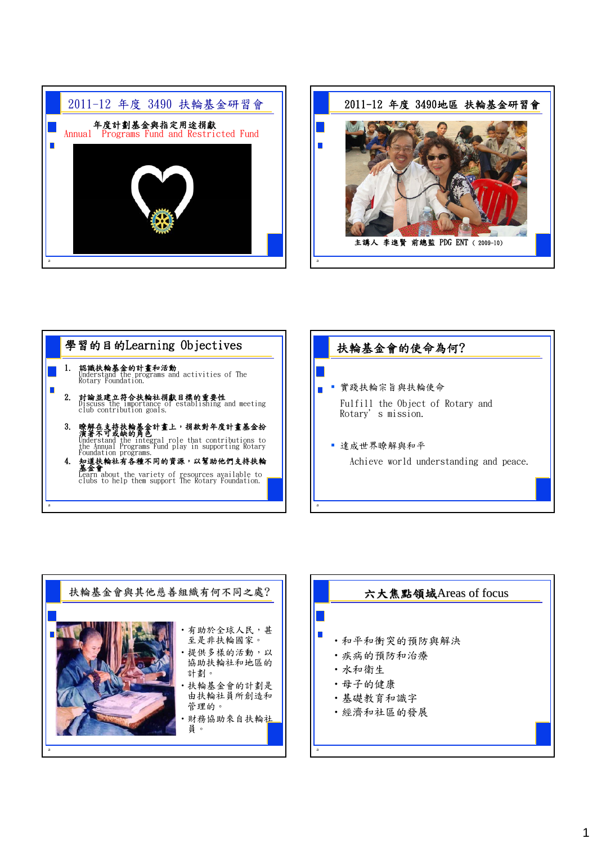









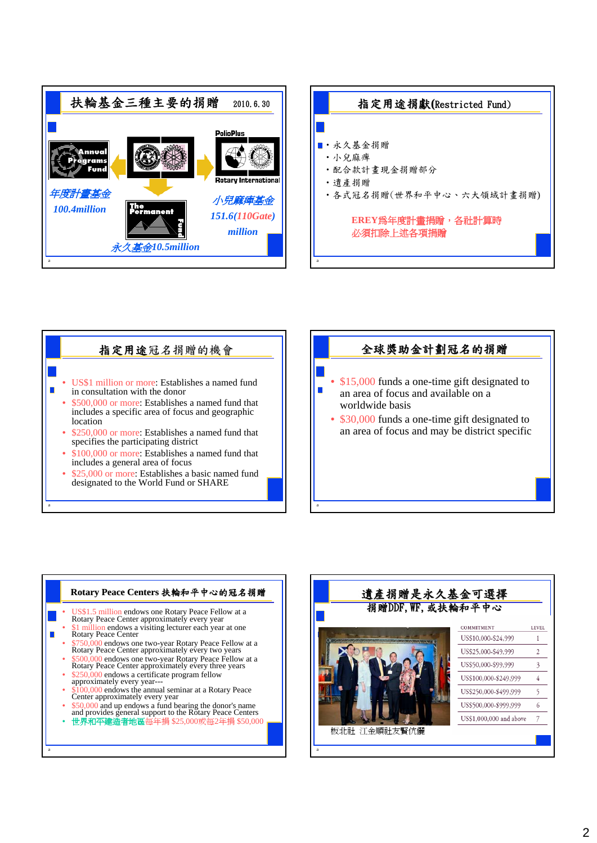









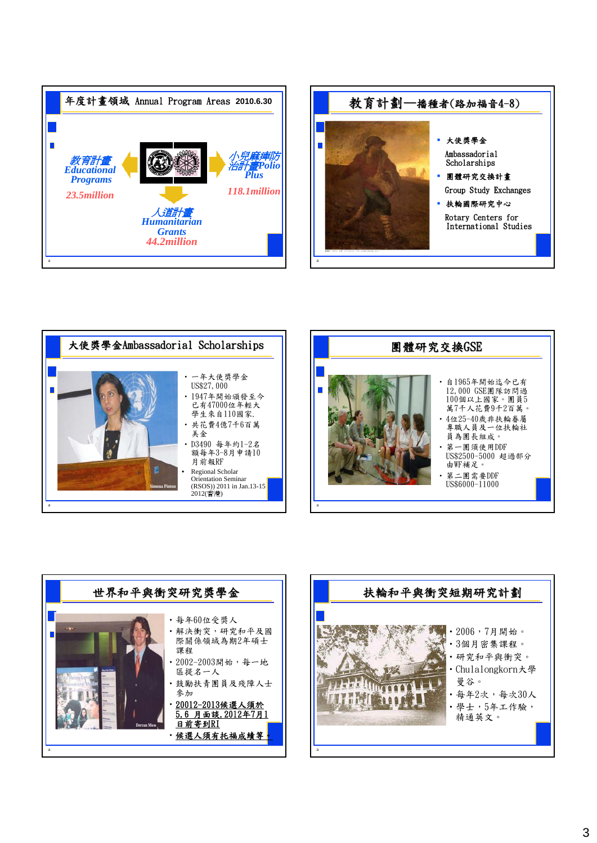









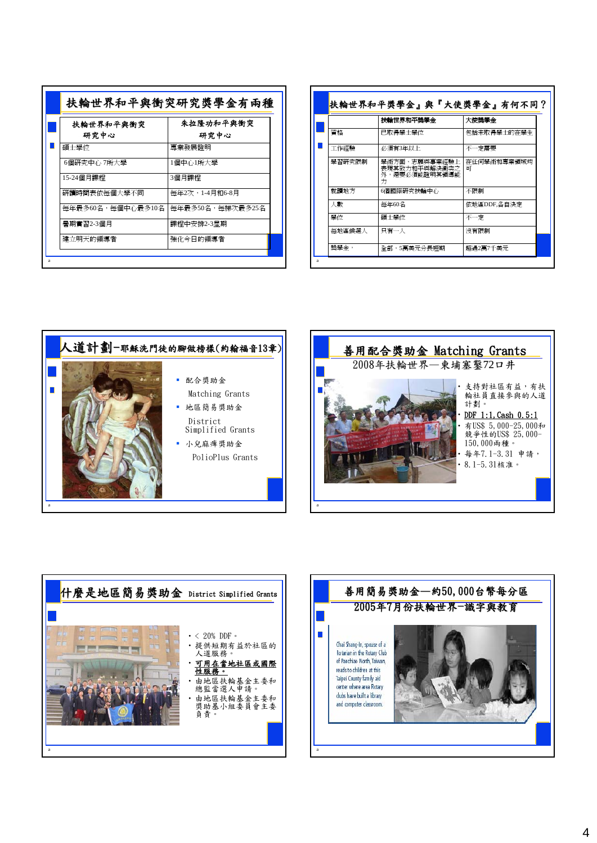| 扶輪世界和平與衝突         | 朱拉隆功和平奥衝突        |
|-------------------|------------------|
| 研究中心              | 研究中心             |
| 碩士學位              | 專業發展證明           |
| 6個研究中心 7所大學       | 1個中心1所大學         |
| 15-24個月課程         | 3個月課程            |
| 研讀時間表依每個大學不同      | 每年2次,1-4月和6-8月   |
| 每年最多60名,每個中心最多10名 | 每年最多50名,每梯次最多25名 |
| 暑期實習2-3個月         | 課程中安排2-3星期       |
| 建立明天的領導者          | 強化今日的領導者         |

|        | 扶輪世界和平獎學金                                             | 大使獎學金              |
|--------|-------------------------------------------------------|--------------------|
| 脊格     | 已取得學士學位                                               | 句括未取得學士的在學生        |
| 工作經驗   | 必須有3年以上                                               | 不一定需要              |
| 學習研究限制 | 學術方面、志願與事業經驗上<br>表現其致力和平與解決衝突之<br>外,澴要必須能證明其領導能<br>ŤΤ | 在任何學術和專業領域均<br>र्ण |
| 就讀地方   | 6個國際研究扶輪中心                                            | 不限制                |
| 人數     | 每年60名                                                 | 依地區DDF,各自決定        |
| 壆付     | 碩士學位                                                  | 不一定                |
| 每地區候選人 | 只有一人                                                  | 沒有限制               |







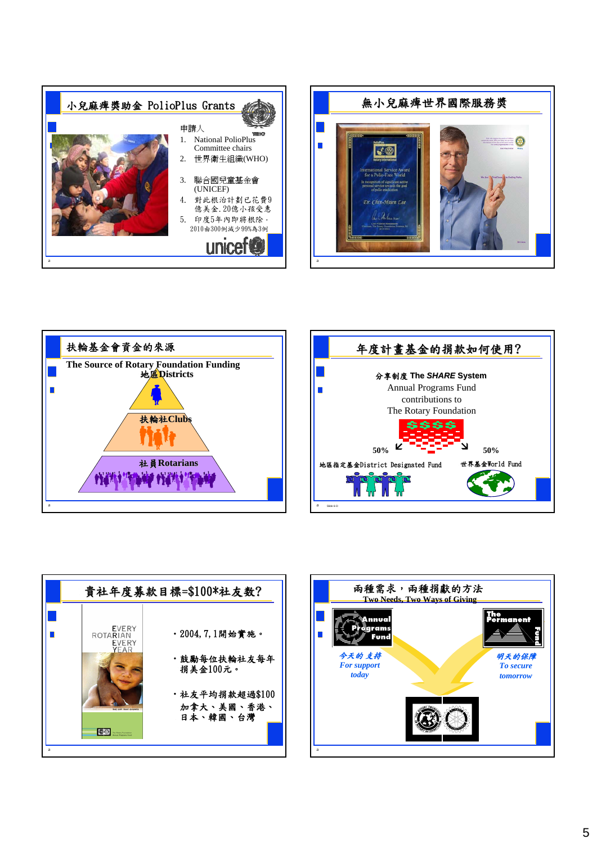









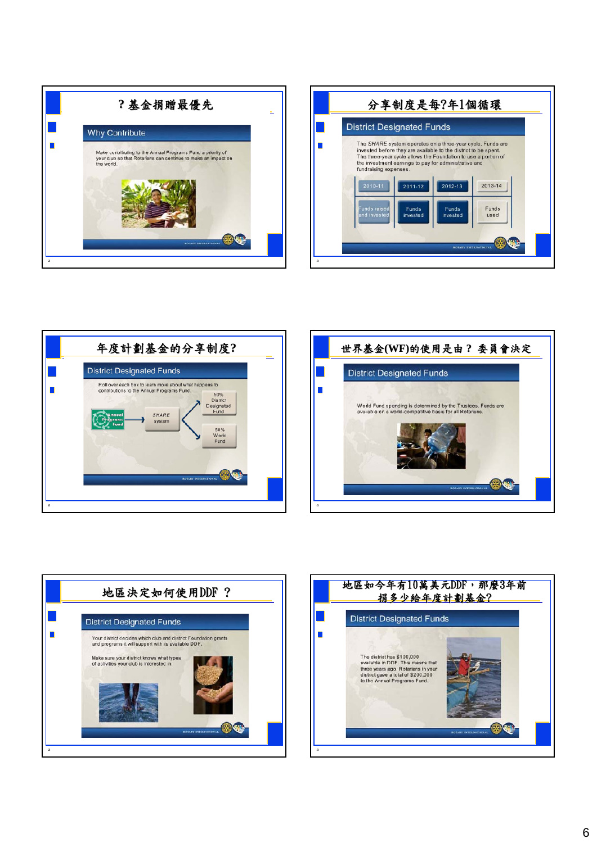